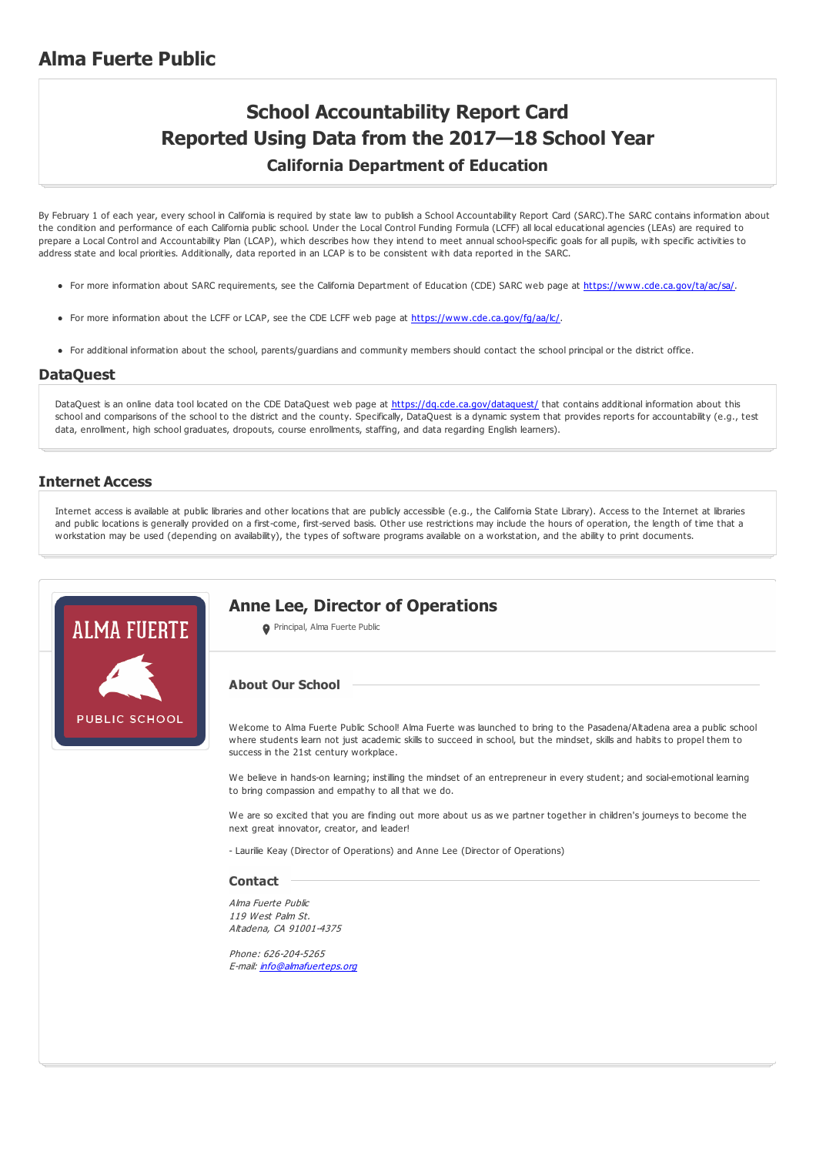### **Alma Fuerte Public**

## **School Accountability Report Card Reported Using Data from the 2017—18 School Year California Department of Education**

By February 1 of each year, every school in California is required by state law to publish a School Accountability Report Card (SARC).The SARC contains information about the condition and performance of each California public school. Under the Local Control Funding Formula (LCFF) all local educational agencies (LEAs) are required to prepare a Local Control and Accountability Plan (LCAP), which describes how they intend to meet annual school-specific goals for all pupils, with specific activities to address state and local priorities. Additionally, data reported in an LCAP is to be consistent with data reported in the SARC.

- For more information about SARC requirements, see the California Department of Education (CDE) SARC web page at <https://www.cde.ca.gov/ta/ac/sa/>.
- For more information about the LCFF or LCAP, see the CDE LCFF web page at <https://www.cde.ca.gov/fg/aa/lc/>.
- For additional information about the school, parents/guardians and community members should contact the school principal or the district office.

#### **DataQuest**

DataQuest is an online data tool located on the CDE DataQuest web page at <https://dq.cde.ca.gov/dataquest/> that contains additional information about this school and comparisons of the school to the district and the county. Specifically, DataQuest is a dynamic system that provides reports for accountability (e.g., test data, enrollment, high school graduates, dropouts, course enrollments, staffing, and data regarding English learners).

#### **Internet Access**

Internet access is available at public libraries and other locations that are publicly accessible (e.g., the California State Library). Access to the Internet at libraries and public locations is generally provided on a first-come, first-served basis. Other use restrictions may include the hours of operation, the length of time that a workstation may be used (depending on availability), the types of software programs available on a workstation, and the ability to print documents.



#### **Anne Lee, Director of Operations**

**O** Principal, Alma Fuerte Public

#### **About Our School**

Welcome to Alma Fuerte Public School! Alma Fuerte was launched to bring to the Pasadena/Altadena area a public school where students learn not just academic skills to succeed in school, but the mindset, skills and habits to propel them to success in the 21st century workplace.

We believe in hands-on learning; instilling the mindset of an entrepreneur in every student; and social-emotional learning to bring compassion and empathy to all that we do.

We are so excited that you are finding out more about us as we partner together in children's journeys to become the next great innovator, creator, and leader!

- Laurilie Keay (Director of Operations) and Anne Lee (Director of Operations)

#### **Contact**

Alma Fuerte Public 119 West Palm St. Altadena, CA 91001-4375

Phone: 626-204-5265 E-mail: [info@almafuerteps.org](mailto:info@almafuerteps.org)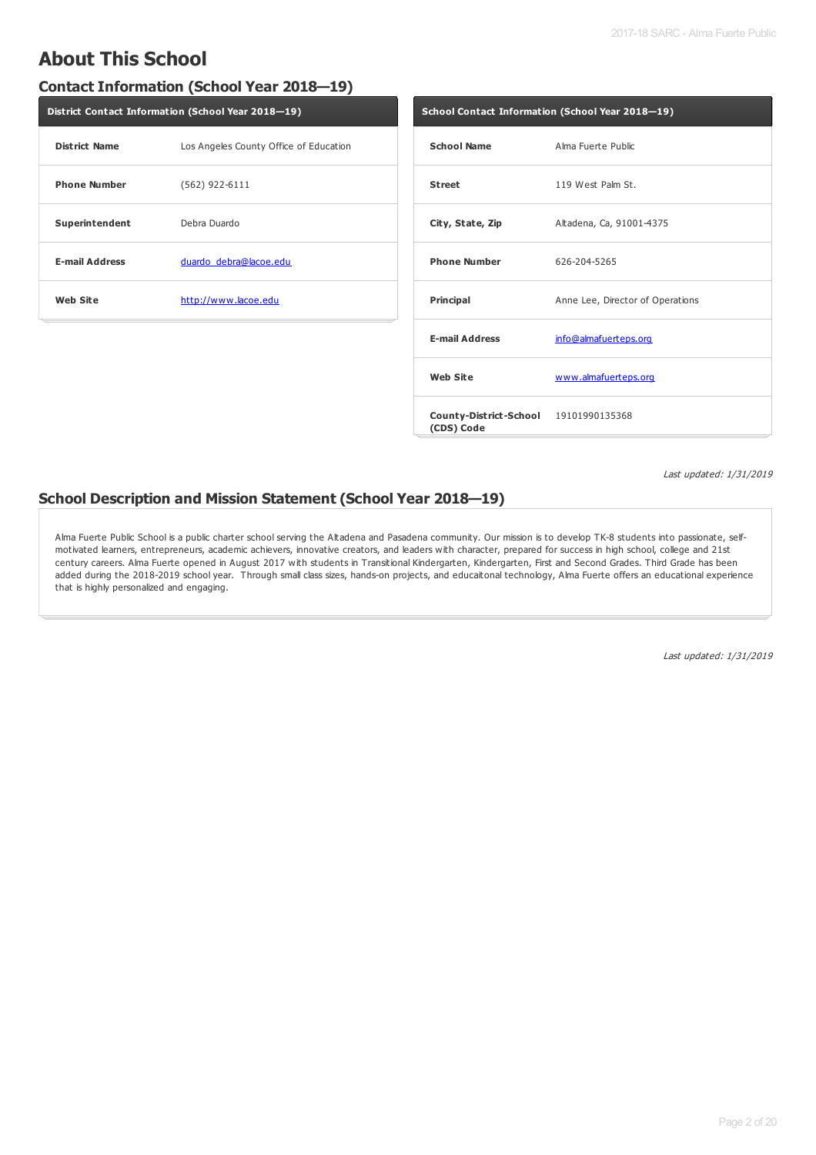### **About This School**

#### **Contact Information (School Year 2018—19)**

| District Contact Information (School Year 2018-19) |                                        |  |  |  |
|----------------------------------------------------|----------------------------------------|--|--|--|
| <b>District Name</b>                               | Los Angeles County Office of Education |  |  |  |
| <b>Phone Number</b>                                | $(562)$ 922-6111                       |  |  |  |
| Superintendent                                     | Debra Duardo                           |  |  |  |
| <b>E-mail Address</b>                              | duardo debra@lacoe.edu                 |  |  |  |
| <b>Web Site</b>                                    | http://www.lacoe.edu                   |  |  |  |
|                                                    |                                        |  |  |  |

| School Contact Information (School Year 2018–19)    |                                  |  |  |  |
|-----------------------------------------------------|----------------------------------|--|--|--|
| <b>School Name</b>                                  | Alma Fuerte Public               |  |  |  |
| <b>Street</b>                                       | 119 West Palm St.                |  |  |  |
| City, State, Zip                                    | Altadena, Ca, 91001-4375         |  |  |  |
| <b>Phone Number</b>                                 | 626-204-5265                     |  |  |  |
| Principal                                           | Anne Lee, Director of Operations |  |  |  |
| <b>E-mail Address</b>                               | info@almafuerteps.org            |  |  |  |
| <b>Web Site</b>                                     | www.almafuerteps.org             |  |  |  |
| County-District-School 19101990135368<br>(CDS) Code |                                  |  |  |  |

Last updated: 1/31/2019

#### **School Description and Mission Statement (School Year 2018—19)**

Alma Fuerte Public School is a public charter school serving the Altadena and Pasadena community. Our mission is to develop TK-8 students into passionate, selfmotivated learners, entrepreneurs, academic achievers, innovative creators, and leaders with character, prepared for success in high school, college and 21st century careers. Alma Fuerte opened in August 2017 with students in Transitional Kindergarten, Kindergarten, First and Second Grades. Third Grade has been added during the 2018-2019 school year. Through small class sizes, hands-on projects, and educaitonal technology, Alma Fuerte offers an educational experience that is highly personalized and engaging.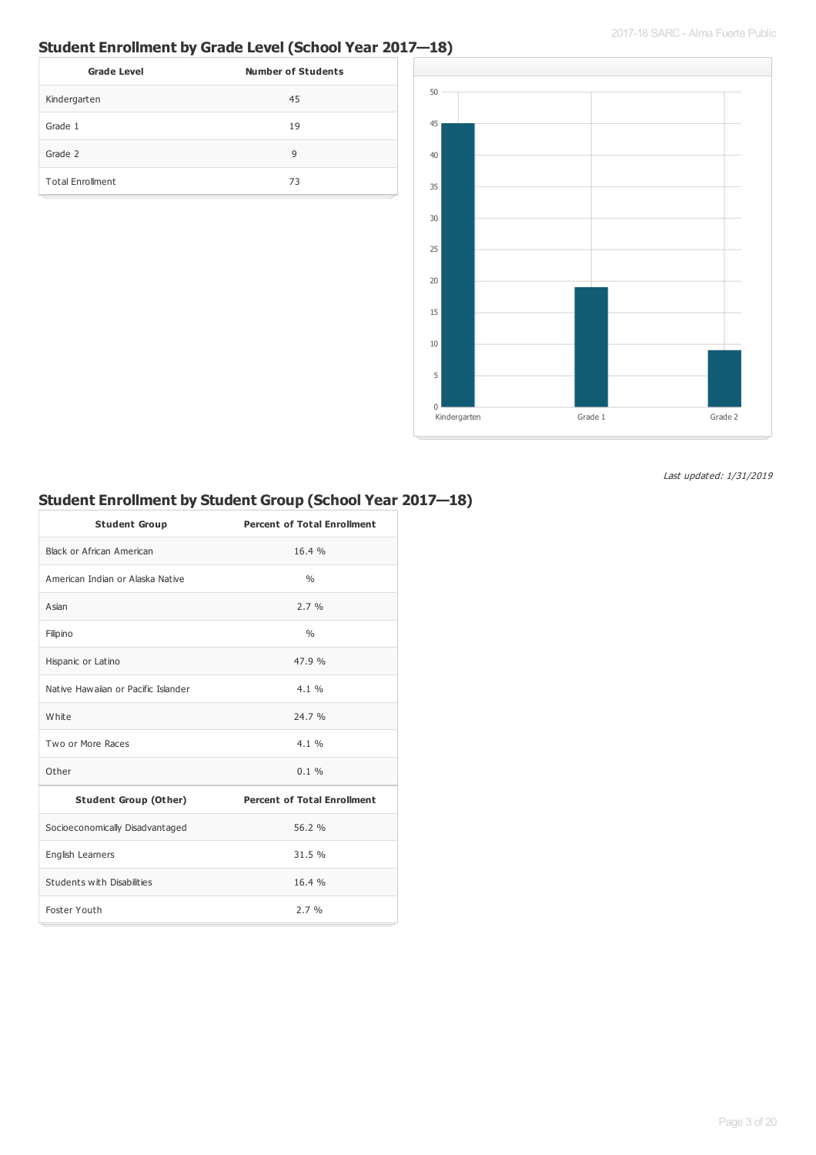### **Student Enrollment by Grade Level (School Year 2017—18)**

| <b>Grade Level</b>      | <b>Number of Students</b> |
|-------------------------|---------------------------|
| Kindergarten            | 45                        |
| Grade 1                 | 19                        |
| Grade 2                 | 9                         |
| <b>Total Enrollment</b> | 73                        |



Last updated: 1/31/2019

#### **Student Enrollment by Student Group (School Year 2017—18)**

| <b>Student Group</b>                | <b>Percent of Total Enrollment</b> |
|-------------------------------------|------------------------------------|
| Black or African American           | 16.4%                              |
| American Indian or Alaska Native    | $\frac{0}{0}$                      |
| Asian                               | 2.7%                               |
| Filipino                            | 0/6                                |
| Hispanic or Latino                  | 47.9%                              |
| Native Hawaijan or Pacific Islander | $4.1\%$                            |
| White                               | 24.7 %                             |
| Two or More Races                   | 4.1%                               |
| Other                               | $0.1 \%$                           |
| <b>Student Group (Other)</b>        | <b>Percent of Total Enrollment</b> |
| Socioeconomically Disadvantaged     | 56.2 %                             |
| English Learners                    | 31.5 %                             |
| Students with Disabilities          | 16.4%                              |
| Foster Youth                        | 2.7%                               |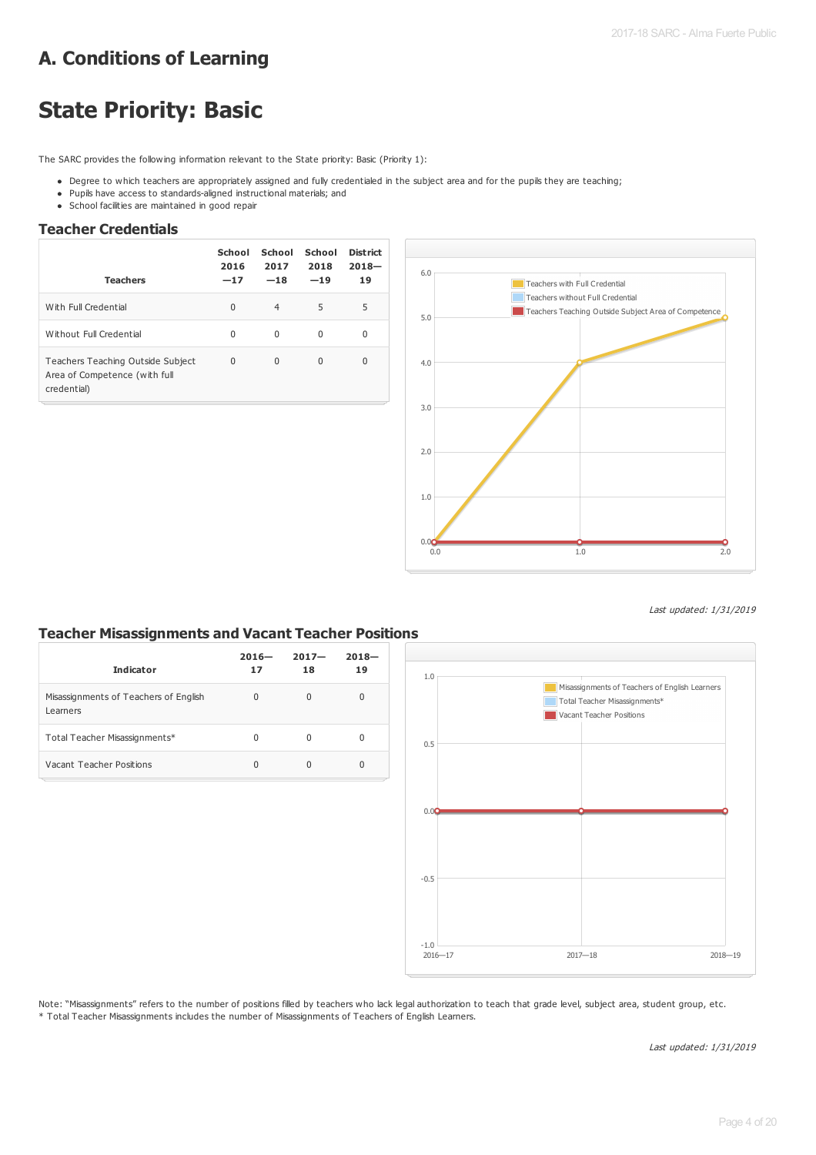## **A. Conditions of Learning**

## **State Priority: Basic**

The SARC provides the following information relevant to the State priority: Basic (Priority 1):

- . Degree to which teachers are appropriately assigned and fully credentialed in the subject area and for the pupils they are teaching;
- Pupils have access to standards-aligned instructional materials; and
- School facilities are maintained in good repair

#### **Teacher Credentials**

| <b>Teachers</b>                                                                   | School<br>2016<br>$-17$ | School<br>2017<br>$-18$ | School<br>2018<br>$-19$ | District<br>$2018 -$<br>19 |
|-----------------------------------------------------------------------------------|-------------------------|-------------------------|-------------------------|----------------------------|
| With Full Credential                                                              | $\Omega$                | $\overline{4}$          | 5                       | 5                          |
| Without Full Credential                                                           | 0                       | $\Omega$                | $\Omega$                | 0                          |
| Teachers Teaching Outside Subject<br>Area of Competence (with full<br>credential) | $\Omega$                | $\Omega$                | $\Omega$                | $\Omega$                   |



Last updated: 1/31/2019

#### **Teacher Misassignments and Vacant Teacher Positions**

| <b>Indicator</b>                                  | $2016 -$<br>17 | $2017 -$<br>18 | $2018 -$<br>19 |
|---------------------------------------------------|----------------|----------------|----------------|
| Misassignments of Teachers of English<br>Learners | $\Omega$       | $\Omega$       | $\Omega$       |
| Total Teacher Misassignments*                     | 0              | 0              | Ω              |
| Vacant Teacher Positions                          | $\Omega$       | Ω              | 0              |



Note: "Misassignments" refers to the number of positions filled by teachers who lack legal authorization to teach that grade level, subject area, student group, etc. \* Total Teacher Misassignments includes the number of Misassignments of Teachers of English Learners.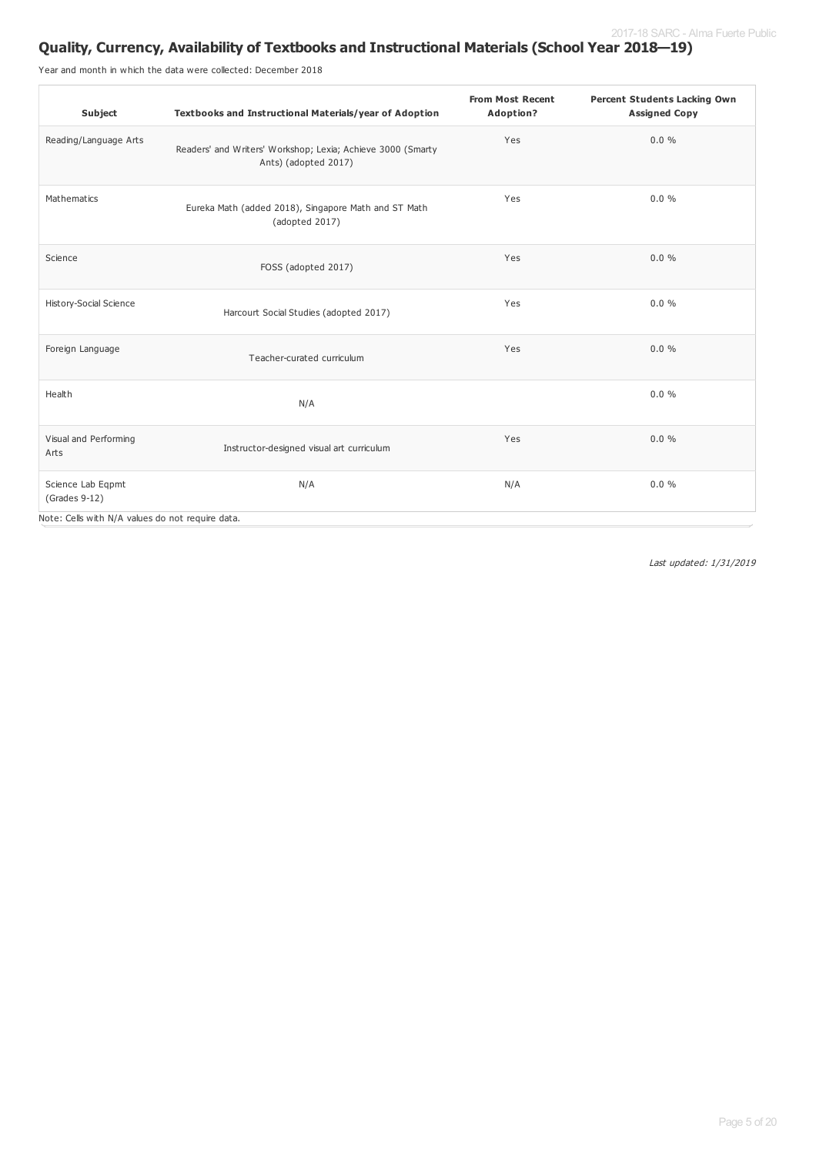### **Quality, Currency, Availability of Textbooks and Instructional Materials (School Year 2018—19)**

Year and month in which the data were collected: December 2018

| Subject                                                                                | Textbooks and Instructional Materials/year of Adoption                              | <b>From Most Recent</b><br>Adoption? | <b>Percent Students Lacking Own</b><br><b>Assigned Copy</b> |
|----------------------------------------------------------------------------------------|-------------------------------------------------------------------------------------|--------------------------------------|-------------------------------------------------------------|
| Reading/Language Arts                                                                  | Readers' and Writers' Workshop; Lexia; Achieve 3000 (Smarty<br>Ants) (adopted 2017) | Yes                                  | $0.0 \%$                                                    |
| Mathematics                                                                            | Eureka Math (added 2018), Singapore Math and ST Math<br>(adopted 2017)              | Yes                                  | $0.0 \%$                                                    |
| Science                                                                                | FOSS (adopted 2017)                                                                 | Yes                                  | 0.0%                                                        |
| History-Social Science                                                                 | Harcourt Social Studies (adopted 2017)                                              | Yes                                  | $0.0 \%$                                                    |
| Foreign Language                                                                       | Teacher-curated curriculum                                                          | Yes                                  | 0.0%                                                        |
| Health                                                                                 | N/A                                                                                 |                                      | $0.0 \%$                                                    |
| Visual and Performing<br>Arts                                                          | Instructor-designed visual art curriculum                                           | Yes                                  | 0.0%                                                        |
| Science Lab Eqpmt<br>(Grades 9-12)<br>Note: Cells with N/A values do not require data. | N/A                                                                                 | N/A                                  | $0.0 \%$                                                    |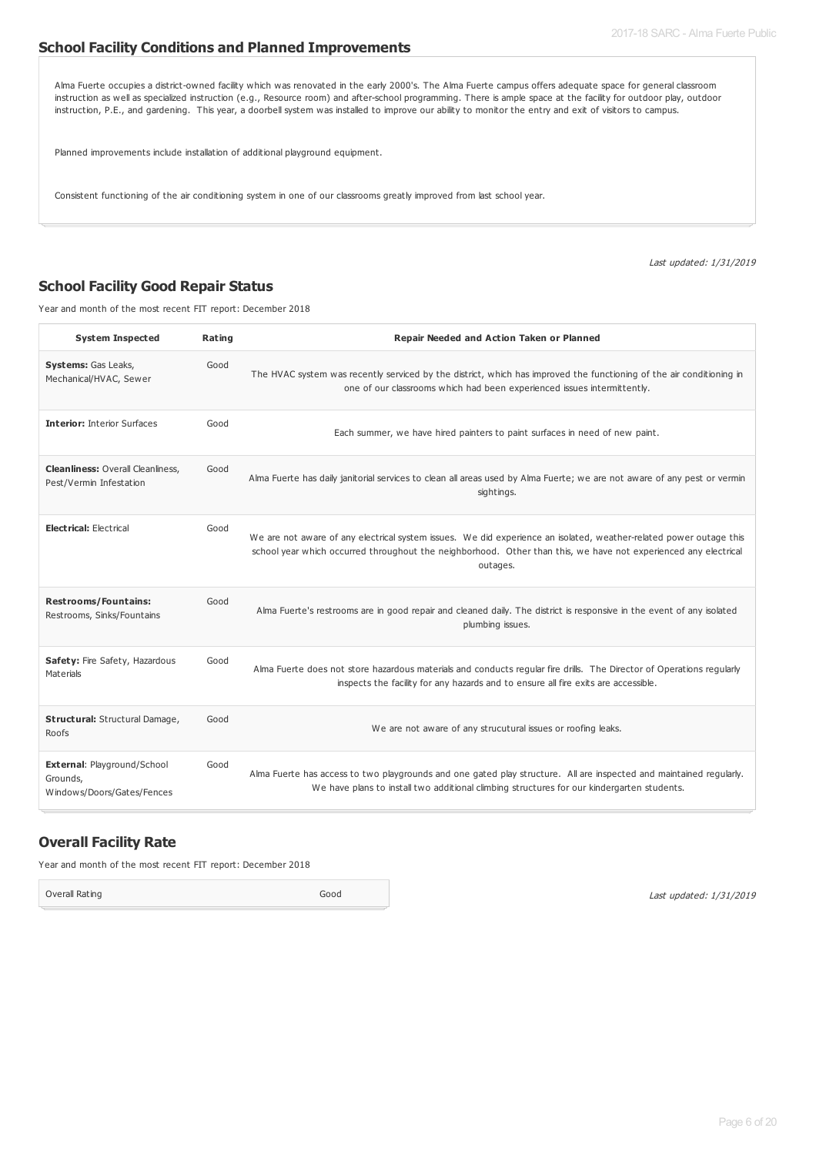#### **School Facility Conditions and Planned Improvements**

Alma Fuerte occupies a district-owned facility which was renovated in the early 2000's. The Alma Fuerte campus offers adequate space for general classroom instruction as well as specialized instruction (e.g., Resource room) and after-school programming. There is ample space at the facility for outdoor play, outdoor instruction, P.E., and gardening. This year, a doorbell system was installed to improve our ability to monitor the entry and exit of visitors to campus.

Planned improvements include installation of additional playground equipment.

Consistent functioning of the air conditioning system in one of our classrooms greatly improved from last school year.

Last updated: 1/31/2019

#### **School Facility Good Repair Status**

Year and month of the most recent FIT report: December 2018

| <b>System Inspected</b>                                               | Rating | Repair Needed and Action Taken or Planned                                                                                                                                                                                                         |
|-----------------------------------------------------------------------|--------|---------------------------------------------------------------------------------------------------------------------------------------------------------------------------------------------------------------------------------------------------|
| Systems: Gas Leaks,<br>Mechanical/HVAC, Sewer                         | Good   | The HVAC system was recently serviced by the district, which has improved the functioning of the air conditioning in<br>one of our classrooms which had been experienced issues intermittently.                                                   |
| <b>Interior: Interior Surfaces</b>                                    | Good   | Each summer, we have hired painters to paint surfaces in need of new paint.                                                                                                                                                                       |
| <b>Cleanliness: Overall Cleanliness,</b><br>Pest/Vermin Infestation   | Good   | Alma Fuerte has daily janitorial services to clean all areas used by Alma Fuerte; we are not aware of any pest or vermin<br>sightings.                                                                                                            |
| <b>Electrical: Electrical</b>                                         | Good   | We are not aware of any electrical system issues. We did experience an isolated, weather-related power outage this<br>school year which occurred throughout the neighborhood. Other than this, we have not experienced any electrical<br>outages. |
| <b>Restrooms/Fountains:</b><br>Restrooms, Sinks/Fountains             | Good   | Alma Fuerte's restrooms are in good repair and cleaned daily. The district is responsive in the event of any isolated<br>plumbing issues.                                                                                                         |
| Safety: Fire Safety, Hazardous<br><b>Materials</b>                    | Good   | Alma Fuerte does not store hazardous materials and conducts regular fire drills. The Director of Operations regularly<br>inspects the facility for any hazards and to ensure all fire exits are accessible.                                       |
| Structural: Structural Damage,<br>Roofs                               | Good   | We are not aware of any strucutural issues or roofing leaks.                                                                                                                                                                                      |
| External: Playground/School<br>Grounds,<br>Windows/Doors/Gates/Fences | Good   | Alma Fuerte has access to two playgrounds and one gated play structure. All are inspected and maintained regularly.<br>We have plans to install two additional climbing structures for our kindergarten students.                                 |

#### **Overall Facility Rate**

Year and month of the most recent FIT report: December 2018

Overall Rating Good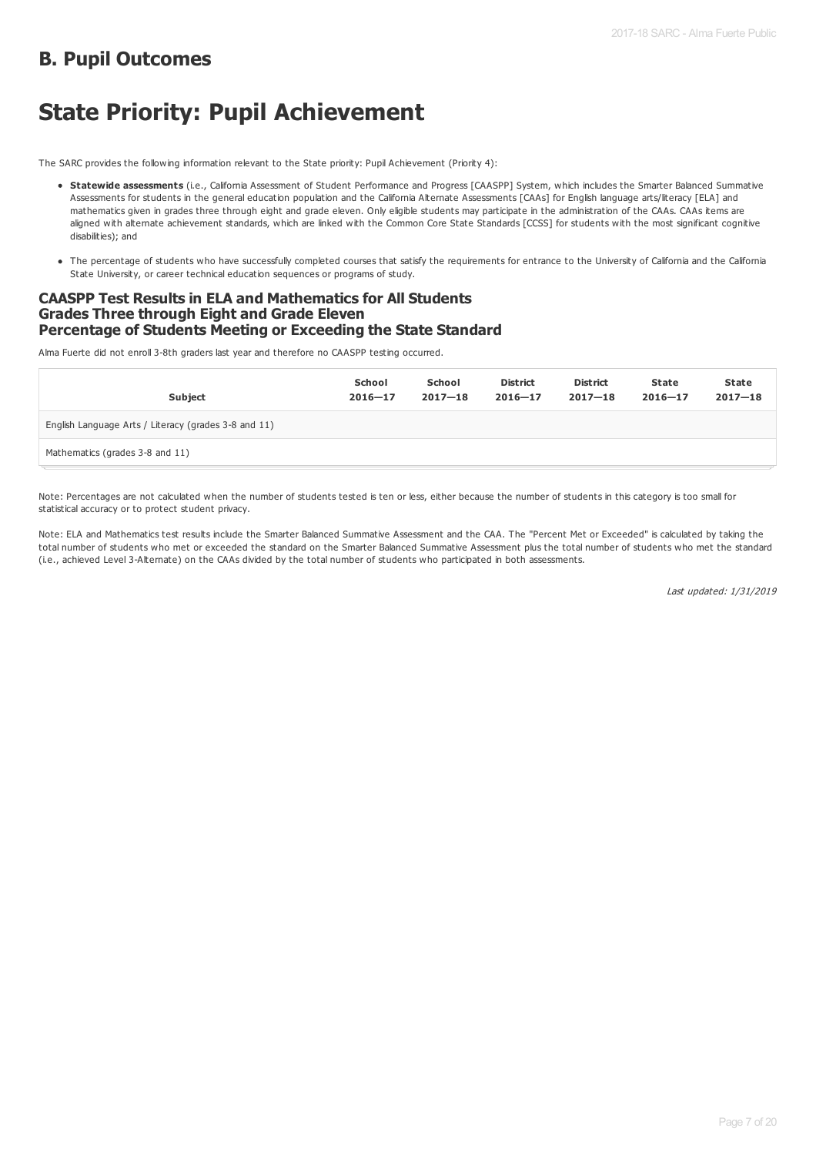### **B. Pupil Outcomes**

## **State Priority: Pupil Achievement**

The SARC provides the following information relevant to the State priority: Pupil Achievement (Priority 4):

- **Statewide assessments** (i.e., California Assessment of Student Performance and Progress [CAASPP] System, which includes the Smarter Balanced Summative Assessments for students in the general education population and the California Alternate Assessments [CAAs] for English language arts/literacy [ELA] and mathematics given in grades three through eight and grade eleven. Only eligible students may participate in the administration of the CAAs. CAAs items are aligned with alternate achievement standards, which are linked with the Common Core State Standards [CCSS] for students with the most significant cognitive disabilities); and
- The percentage of students who have successfully completed courses that satisfy the requirements for entrance to the University of California and the California State University, or career technical education sequences or programs of study.

#### **CAASPP Test Results in ELA and Mathematics for All Students Grades Three through Eight and Grade Eleven Percentage of Students Meeting or Exceeding the State Standard**

Alma Fuerte did not enroll 3-8th graders last year and therefore no CAASPP testing occurred.

| <b>Subject</b>                                       | School<br>$2016 - 17$ | School<br>$2017 - 18$ | <b>District</b><br>$2016 - 17$ | <b>District</b><br>$2017 - 18$ | State<br>$2016 - 17$ | State<br>$2017 - 18$ |
|------------------------------------------------------|-----------------------|-----------------------|--------------------------------|--------------------------------|----------------------|----------------------|
| English Language Arts / Literacy (grades 3-8 and 11) |                       |                       |                                |                                |                      |                      |
| Mathematics (grades 3-8 and 11)                      |                       |                       |                                |                                |                      |                      |

Note: Percentages are not calculated when the number of students tested is ten or less, either because the number of students in this category is too small for statistical accuracy or to protect student privacy.

Note: ELA and Mathematics test results include the Smarter Balanced Summative Assessment and the CAA. The "Percent Met or Exceeded" is calculated by taking the total number of students who met or exceeded the standard on the Smarter Balanced Summative Assessment plus the total number of students who met the standard (i.e., achieved Level 3-Alternate) on the CAAs divided by the total number of students who participated in both assessments.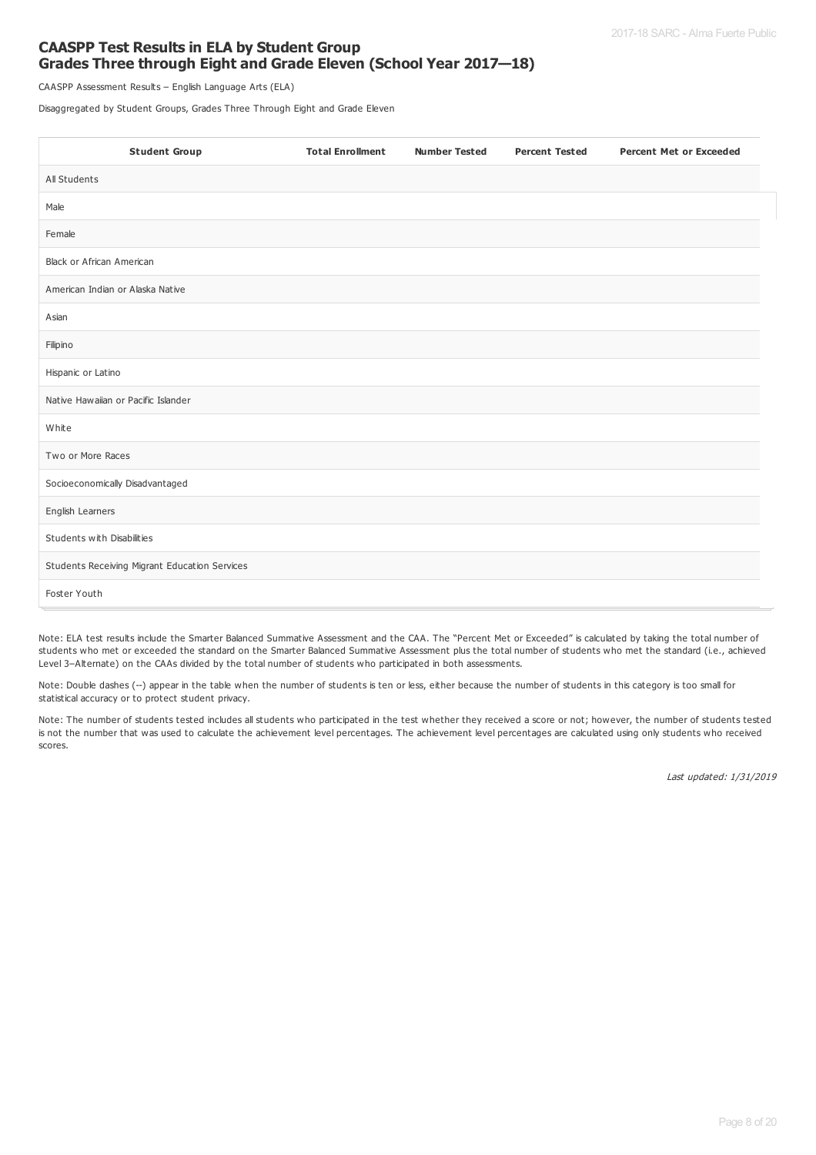#### **CAASPP Test Results in ELA by Student Group Grades Three through Eight and Grade Eleven (School Year 2017—18)**

CAASPP Assessment Results – English Language Arts (ELA)

Disaggregated by Student Groups, Grades Three Through Eight and Grade Eleven

| <b>Student Group</b>                          | <b>Total Enrollment</b> | <b>Number Tested</b> | <b>Percent Tested</b> | <b>Percent Met or Exceeded</b> |
|-----------------------------------------------|-------------------------|----------------------|-----------------------|--------------------------------|
| All Students                                  |                         |                      |                       |                                |
| Male                                          |                         |                      |                       |                                |
| Female                                        |                         |                      |                       |                                |
| Black or African American                     |                         |                      |                       |                                |
| American Indian or Alaska Native              |                         |                      |                       |                                |
| Asian                                         |                         |                      |                       |                                |
| Filipino                                      |                         |                      |                       |                                |
| Hispanic or Latino                            |                         |                      |                       |                                |
| Native Hawaiian or Pacific Islander           |                         |                      |                       |                                |
| White                                         |                         |                      |                       |                                |
| Two or More Races                             |                         |                      |                       |                                |
| Socioeconomically Disadvantaged               |                         |                      |                       |                                |
| English Learners                              |                         |                      |                       |                                |
| Students with Disabilities                    |                         |                      |                       |                                |
| Students Receiving Migrant Education Services |                         |                      |                       |                                |
| Foster Youth                                  |                         |                      |                       |                                |

Note: ELA test results include the Smarter Balanced Summative Assessment and the CAA. The "Percent Met or Exceeded" is calculated by taking the total number of students who met or exceeded the standard on the Smarter Balanced Summative Assessment plus the total number of students who met the standard (i.e., achieved Level 3–Alternate) on the CAAs divided by the total number of students who participated in both assessments.

Note: Double dashes (--) appear in the table when the number of students is ten or less, either because the number of students in this category is too small for statistical accuracy or to protect student privacy.

Note: The number of students tested includes all students who participated in the test whether they received a score or not; however, the number of students tested is not the number that was used to calculate the achievement level percentages. The achievement level percentages are calculated using only students who received scores.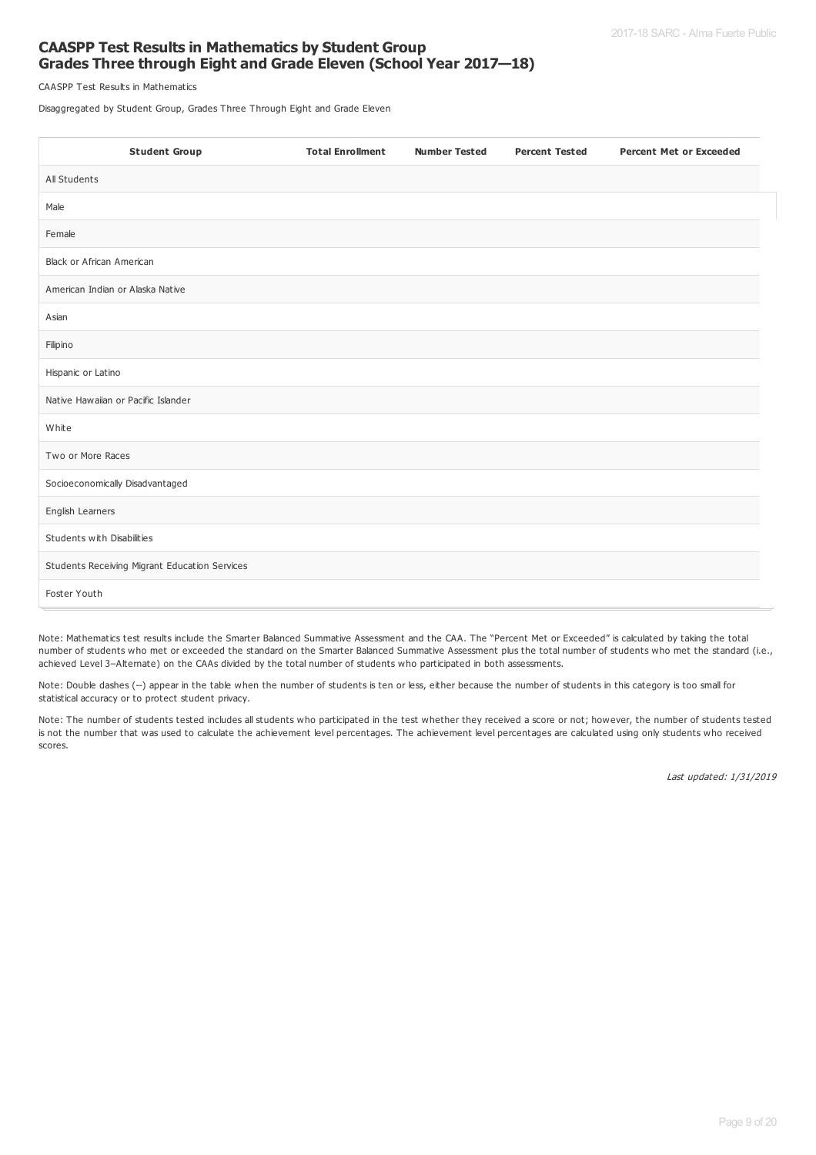#### **CAASPP Test Results in Mathematics by Student Group Grades Three through Eight and Grade Eleven (School Year 2017—18)**

CAASPP Test Results in Mathematics

Disaggregated by Student Group, Grades Three Through Eight and Grade Eleven

| <b>Student Group</b>                          | <b>Total Enrollment</b> | <b>Number Tested</b> | <b>Percent Tested</b> | <b>Percent Met or Exceeded</b> |
|-----------------------------------------------|-------------------------|----------------------|-----------------------|--------------------------------|
| All Students                                  |                         |                      |                       |                                |
| Male                                          |                         |                      |                       |                                |
| Female                                        |                         |                      |                       |                                |
| Black or African American                     |                         |                      |                       |                                |
| American Indian or Alaska Native              |                         |                      |                       |                                |
| Asian                                         |                         |                      |                       |                                |
| Filipino                                      |                         |                      |                       |                                |
| Hispanic or Latino                            |                         |                      |                       |                                |
| Native Hawaiian or Pacific Islander           |                         |                      |                       |                                |
| White                                         |                         |                      |                       |                                |
| Two or More Races                             |                         |                      |                       |                                |
| Socioeconomically Disadvantaged               |                         |                      |                       |                                |
| English Learners                              |                         |                      |                       |                                |
| Students with Disabilities                    |                         |                      |                       |                                |
| Students Receiving Migrant Education Services |                         |                      |                       |                                |
| Foster Youth                                  |                         |                      |                       |                                |

Note: Mathematics test results include the Smarter Balanced Summative Assessment and the CAA. The "Percent Met or Exceeded" is calculated by taking the total number of students who met or exceeded the standard on the Smarter Balanced Summative Assessment plus the total number of students who met the standard (i.e., achieved Level 3–Alternate) on the CAAs divided by the total number of students who participated in both assessments.

Note: Double dashes (--) appear in the table when the number of students is ten or less, either because the number of students in this category is too small for statistical accuracy or to protect student privacy.

Note: The number of students tested includes all students who participated in the test whether they received a score or not; however, the number of students tested is not the number that was used to calculate the achievement level percentages. The achievement level percentages are calculated using only students who received scores.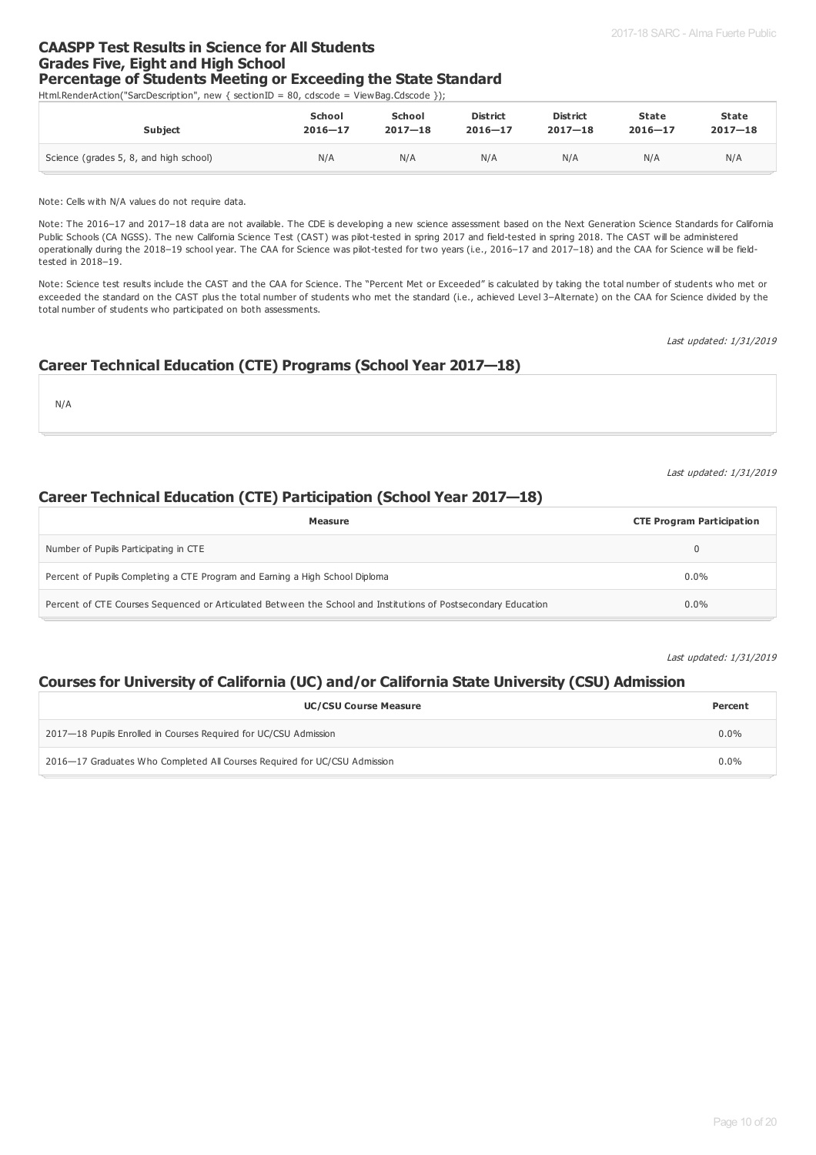#### **CAASPP Test Results in Science for All Students Grades Five, Eight and High School Percentage of Students Meeting or Exceeding the State Standard**

Html.RenderAction("SarcDescription", new { sectionID = 80, cdscode = ViewBag.Cdscode });

| <b>Subject</b>                         | <b>School</b> | School      | <b>District</b> | <b>District</b> | <b>State</b> | <b>State</b> |
|----------------------------------------|---------------|-------------|-----------------|-----------------|--------------|--------------|
|                                        | $2016 - 17$   | $2017 - 18$ | $2016 - 17$     | $2017 - 18$     | $2016 - 17$  | $2017 - 18$  |
| Science (grades 5, 8, and high school) | N/A           | N/A         | N/A             | N/A             | N/A          | N/A          |

Note: Cells with N/A values do not require data.

Note: The 2016–17 and 2017–18 data are not available. The CDE is developing a new science assessment based on the Next Generation Science Standards for California Public Schools (CA NGSS). The new California Science Test (CAST) was pilot-tested in spring 2017 and field-tested in spring 2018. The CAST will be administered operationally during the 2018–19 school year. The CAA for Science was pilot-tested for two years (i.e., 2016–17 and 2017–18) and the CAA for Science will be fieldtested in 2018–19.

Note: Science test results include the CAST and the CAA for Science. The "Percent Met or Exceeded" is calculated by taking the total number of students who met or exceeded the standard on the CAST plus the total number of students who met the standard (i.e., achieved Level 3-Alternate) on the CAA for Science divided by the total number of students who participated on both assessments.

Last updated: 1/31/2019

#### **Career Technical Education (CTE) Programs (School Year 2017—18)**

N/A

Last updated: 1/31/2019

#### **Career Technical Education (CTE) Participation (School Year 2017—18)**

| Measure                                                                                                        | <b>CTE Program Participation</b> |
|----------------------------------------------------------------------------------------------------------------|----------------------------------|
| Number of Pupils Participating in CTE                                                                          |                                  |
| Percent of Pupils Completing a CTE Program and Earning a High School Diploma                                   | $0.0\%$                          |
| Percent of CTE Courses Sequenced or Articulated Between the School and Institutions of Postsecondary Education | $0.0\%$                          |

Last updated: 1/31/2019

#### **Courses for University of California (UC) and/or California State University (CSU) Admission**

| <b>UC/CSU Course Measure</b>                                              | Percent |
|---------------------------------------------------------------------------|---------|
| 2017—18 Pupils Enrolled in Courses Required for UC/CSU Admission          | $0.0\%$ |
| 2016–17 Graduates Who Completed All Courses Required for UC/CSU Admission | $0.0\%$ |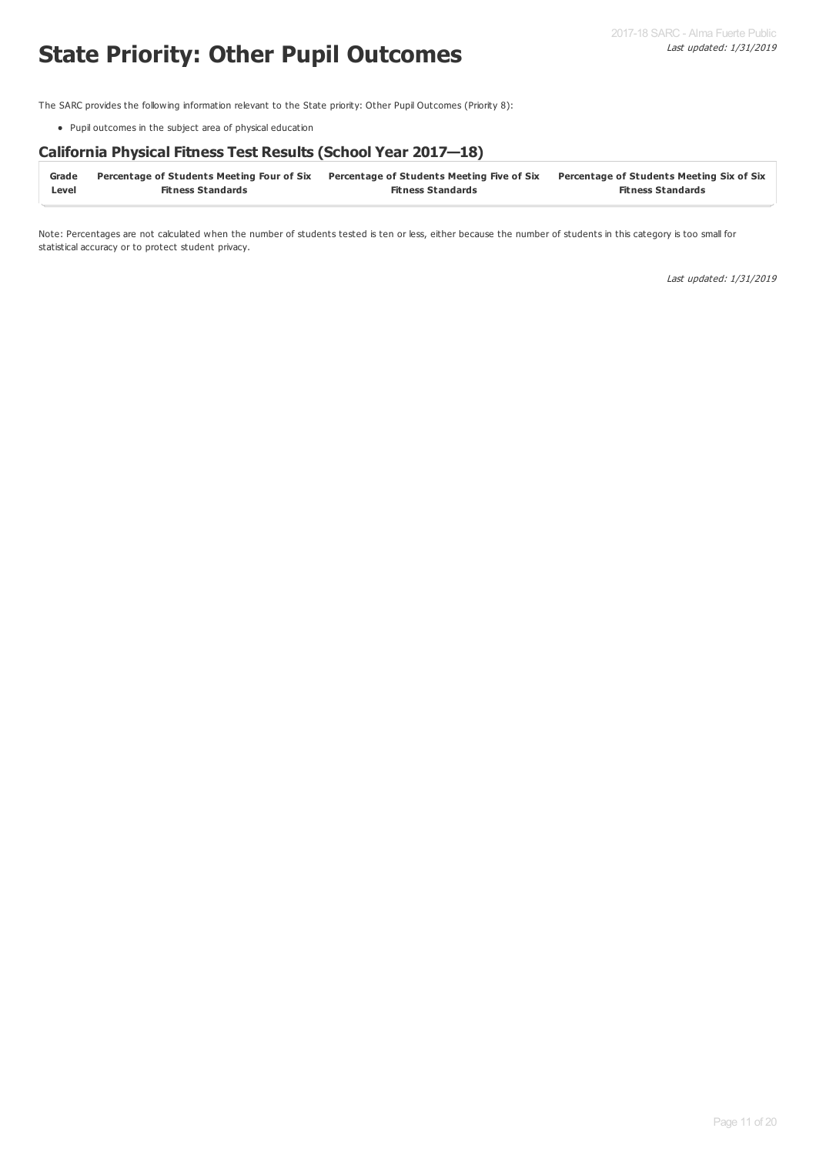## **State Priority: Other Pupil Outcomes**

The SARC provides the following information relevant to the State priority: Other Pupil Outcomes (Priority 8):

Pupil outcomes in the subject area of physical education

#### **California Physical Fitness Test Results (School Year 2017—18)**

| Grade | Percentage of Students Meeting Four of Six Percentage of Students Meeting Five of Six |                          | <b>Percentage of Students Meeting Six of Six</b> |
|-------|---------------------------------------------------------------------------------------|--------------------------|--------------------------------------------------|
| Level | <b>Fitness Standards</b>                                                              | <b>Fitness Standards</b> | <b>Fitness Standards</b>                         |

Note: Percentages are not calculated when the number of students tested is ten or less, either because the number of students in this category is too small for statistical accuracy or to protect student privacy.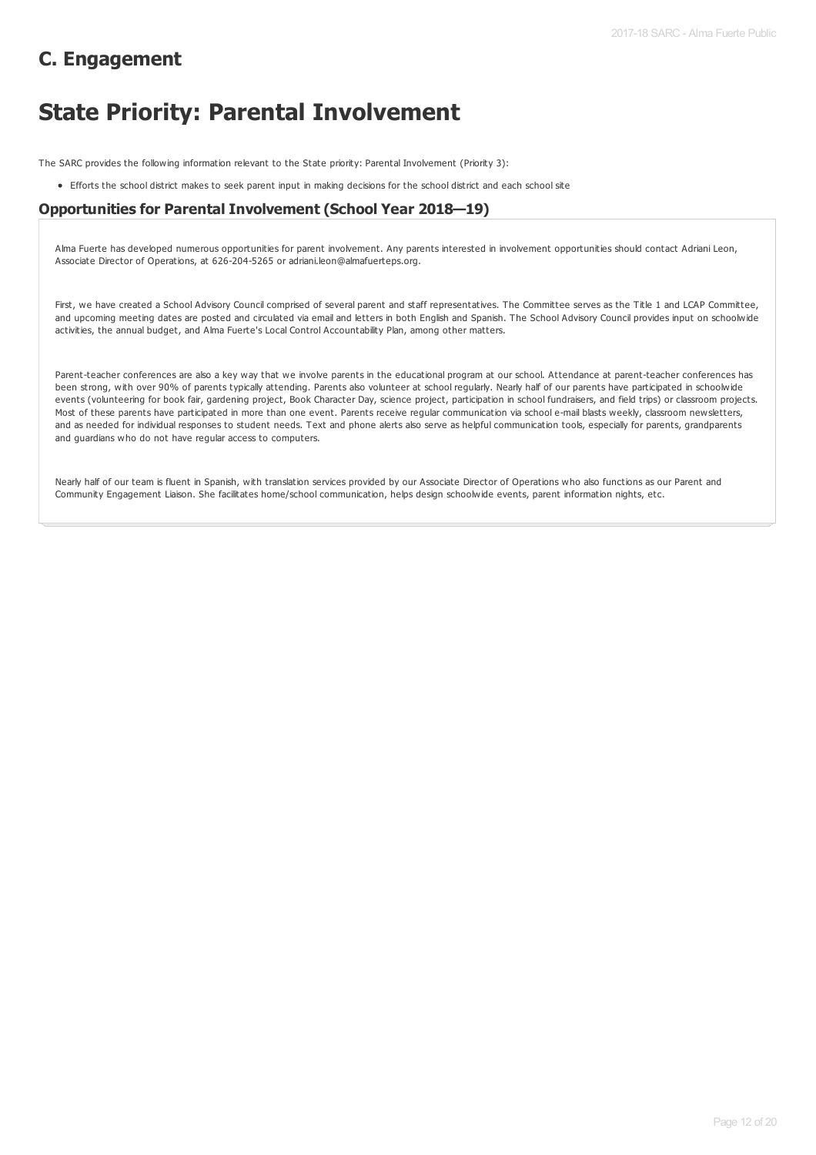## **C. Engagement**

## **State Priority: Parental Involvement**

The SARC provides the following information relevant to the State priority: Parental Involvement (Priority 3):

Efforts the school district makes to seek parent input in making decisions for the school district and each school site

#### **Opportunities for Parental Involvement (School Year 2018—19)**

Alma Fuerte has developed numerous opportunities for parent involvement. Any parents interested in involvement opportunities should contact Adriani Leon, Associate Director of Operations, at 626-204-5265 or adriani.leon@almafuerteps.org.

First, we have created a School Advisory Council comprised of several parent and staff representatives. The Committee serves as the Title 1 and LCAP Committee, and upcoming meeting dates are posted and circulated via email and letters in both English and Spanish. The School Advisory Council provides input on schoolwide activities, the annual budget, and Alma Fuerte's Local Control Accountability Plan, among other matters.

Parent-teacher conferences are also a key way that we involve parents in the educational program at our school. Attendance at parent-teacher conferences has been strong, with over 90% of parents typically attending. Parents also volunteer at school regularly. Nearly half of our parents have participated in schoolwide events (volunteering for book fair, gardening project, Book Character Day, science project, participation in school fundraisers, and field trips) or classroom projects. Most of these parents have participated in more than one event. Parents receive regular communication via school e-mail blasts weekly, classroom newsletters, and as needed for individual responses to student needs. Text and phone alerts also serve as helpful communication tools, especially for parents, grandparents and guardians who do not have regular access to computers.

Nearly half of our team is fluent in Spanish, with translation services provided by our Associate Director of Operations who also functions as our Parent and Community Engagement Liaison. She facilitates home/school communication, helps design schoolwide events, parent information nights, etc.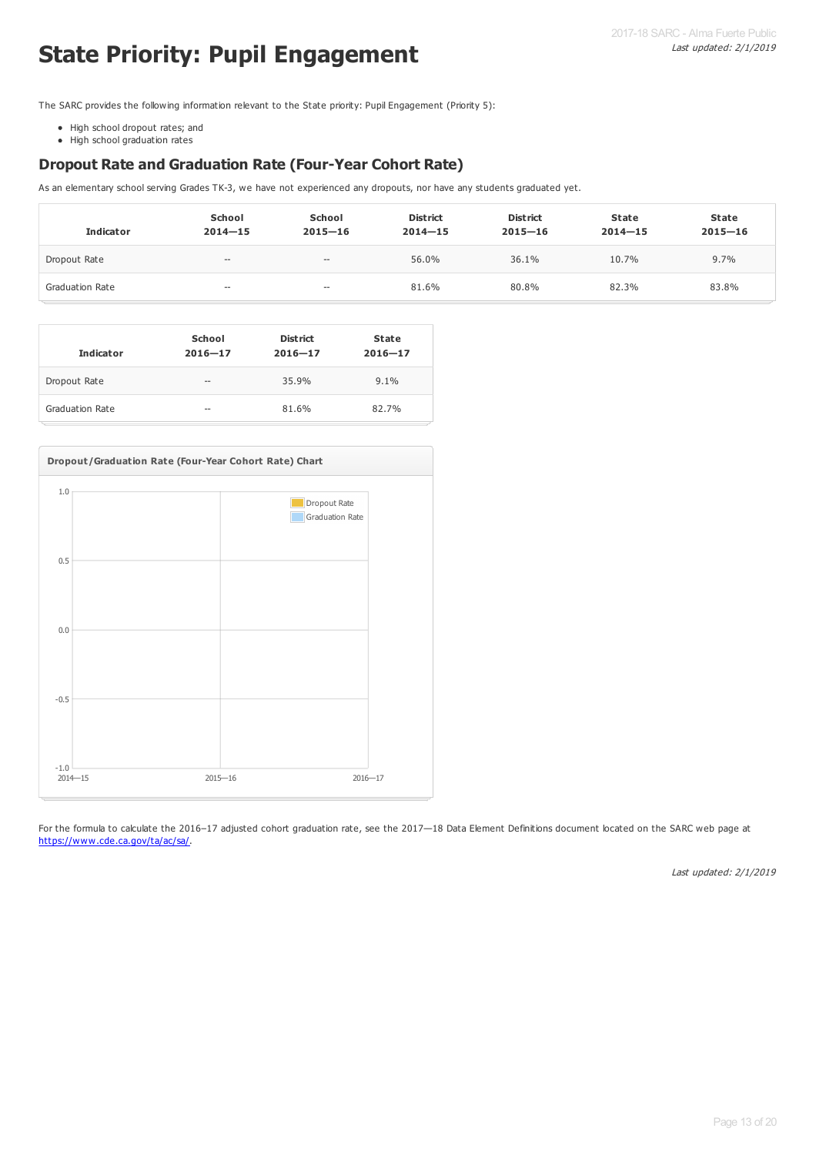# **State Priority: Pupil Engagement**

The SARC provides the following information relevant to the State priority: Pupil Engagement (Priority 5):

- High school dropout rates; and
- High school graduation rates

#### **Dropout Rate and Graduation Rate (Four-Year Cohort Rate)**

As an elementary school serving Grades TK-3, we have not experienced any dropouts, nor have any students graduated yet.

| <b>Indicator</b>       | School<br>$2014 - 15$ | School<br>$2015 - 16$    | <b>District</b><br>$2014 - 15$ | <b>District</b><br>$2015 - 16$ | State<br>$2014 - 15$ | <b>State</b><br>$2015 - 16$ |
|------------------------|-----------------------|--------------------------|--------------------------------|--------------------------------|----------------------|-----------------------------|
| Dropout Rate           | $- -$                 | $\hspace{0.05cm} \cdots$ | 56.0%                          | 36.1%                          | 10.7%                | 9.7%                        |
| <b>Graduation Rate</b> | $- -$                 | $- -$                    | 81.6%                          | 80.8%                          | 82.3%                | 83.8%                       |

| <b>Indicator</b> | School<br>$2016 - 17$ | <b>District</b><br>$2016 - 17$ | <b>State</b><br>$2016 - 17$ |
|------------------|-----------------------|--------------------------------|-----------------------------|
| Dropout Rate     | $-$                   | 35.9%                          | 9.1%                        |
| Graduation Rate  | $\sim$                | 81.6%                          | 82.7%                       |



For the formula to calculate the 2016-17 adjusted cohort graduation rate, see the 2017-18 Data Element Definitions document located on the SARC web page at <https://www.cde.ca.gov/ta/ac/sa/>.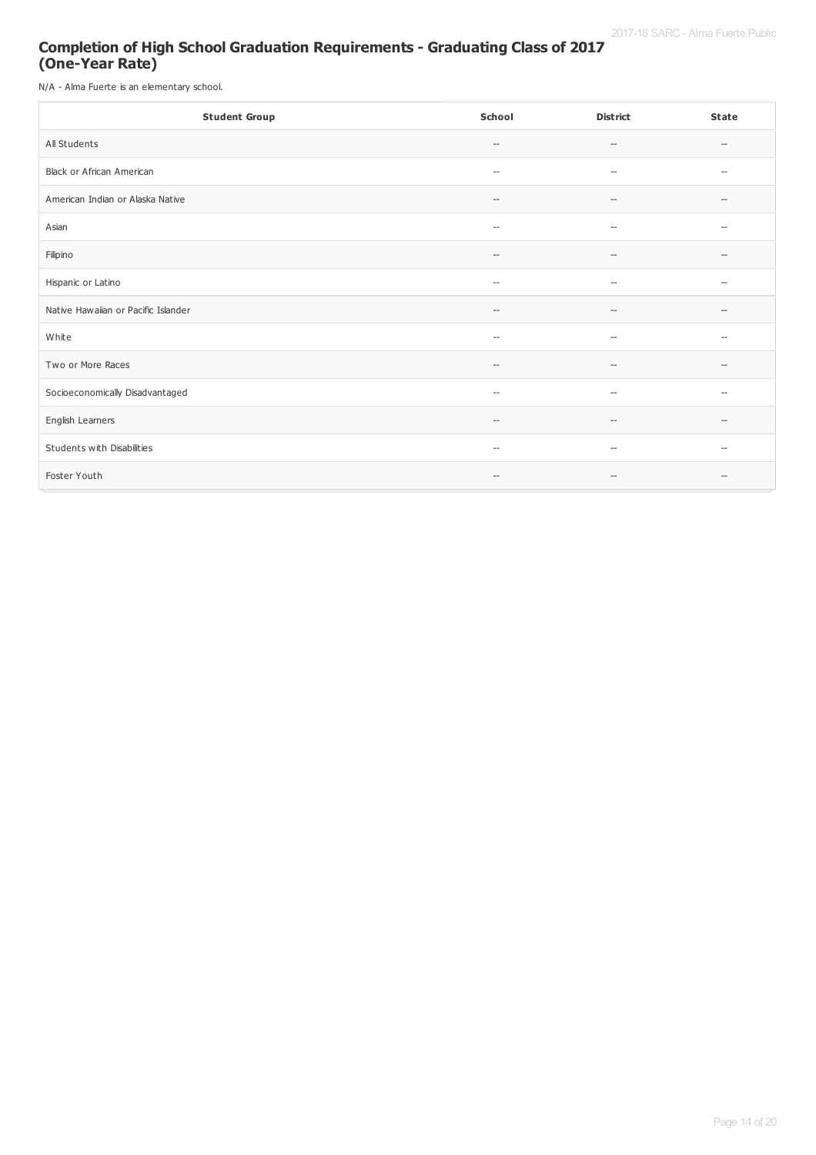#### **Completion of High School Graduation Requirements - Graduating Class of 2017 (One-Year Rate)**

N/A - Alma Fuerte is an elementary school.

| <b>Student Group</b>                | School                                              | <b>District</b>                                     | <b>State</b>             |
|-------------------------------------|-----------------------------------------------------|-----------------------------------------------------|--------------------------|
| All Students                        | $-\!$                                               | $\hspace{0.05cm} -\hspace{0.05cm} -\hspace{0.05cm}$ | $\hspace{0.05cm} \ldots$ |
| Black or African American           | $\hspace{0.05cm} -\hspace{0.05cm} -\hspace{0.05cm}$ | $\overline{\phantom{a}}$                            | $\overline{\phantom{a}}$ |
| American Indian or Alaska Native    | $\hspace{0.05cm} -\hspace{0.05cm} -\hspace{0.05cm}$ | $\hspace{0.05cm} \ldots$                            | $\hspace{0.05cm}$        |
| Asian                               | $\hspace{0.05cm} -$                                 | $\overline{\phantom{a}}$                            | $\overline{\phantom{a}}$ |
| Filipino                            | $-\,-$                                              | $\hspace{0.05cm} -$                                 | $\hspace{0.05cm} \ldots$ |
| Hispanic or Latino                  | $-\!$                                               | $\hspace{0.05cm} \ldots$                            | $\hspace{0.05cm} \ldots$ |
| Native Hawaiian or Pacific Islander | $\hspace{0.05cm} -$                                 | $\hspace{0.05cm} \ldots$                            | $\hspace{0.05cm} \ldots$ |
| White                               | $\overline{\phantom{a}}$                            | $\hspace{0.05cm} \ldots$                            | $\hspace{0.05cm} \ldots$ |
| Two or More Races                   | $\hspace{0.05cm} \ldots$                            | $\hspace{0.05cm} \ldots$                            | $\hspace{0.05cm} \ldots$ |
| Socioeconomically Disadvantaged     | $\overline{\phantom{a}}$                            | $\overline{\phantom{a}}$                            | $\overline{\phantom{a}}$ |
| English Learners                    | $-\!$                                               | $\hspace{0.05cm} -$                                 | $\hspace{0.05cm} \ldots$ |
| Students with Disabilities          | $\hspace{0.05cm} -\hspace{0.05cm} -\hspace{0.05cm}$ | $\hspace{0.05cm} \ldots$                            | $\hspace{0.05cm} \ldots$ |
| Foster Youth                        | $-\,-$                                              | $\overline{\phantom{a}}$                            | $\overline{\phantom{a}}$ |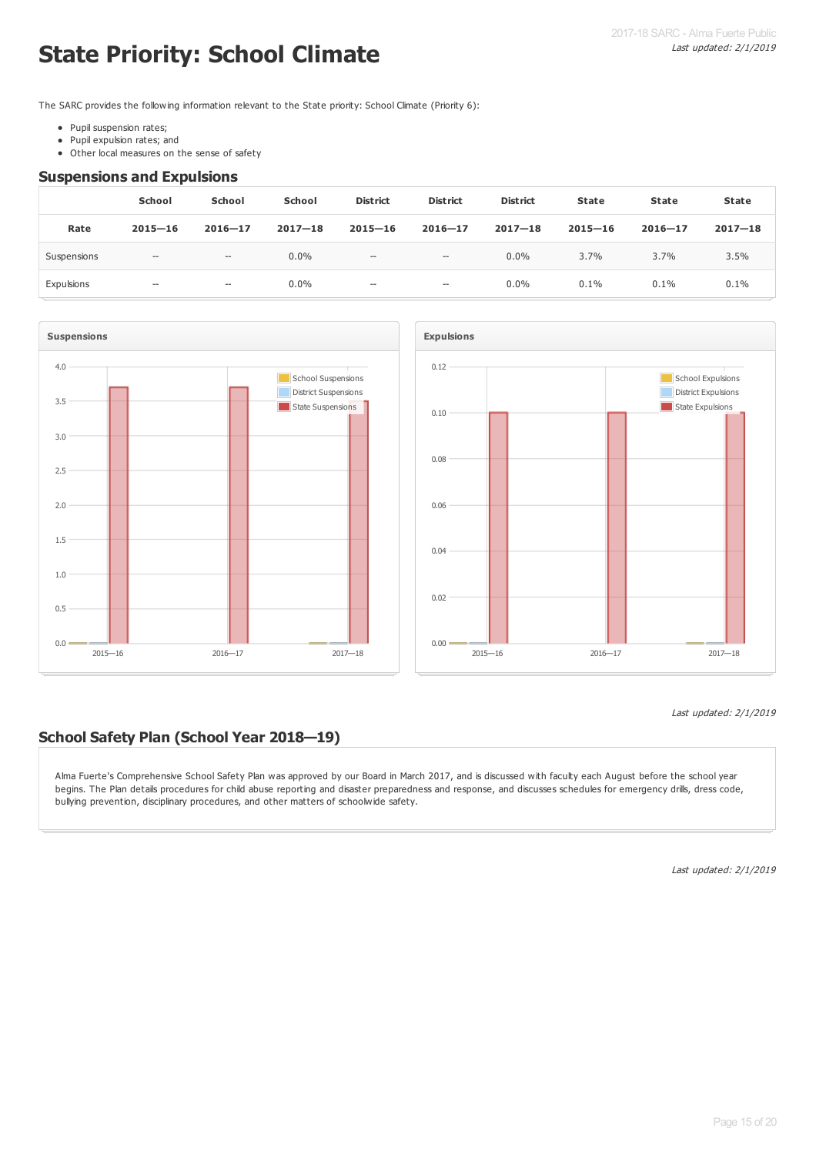# **State Priority: School Climate**

The SARC provides the following information relevant to the State priority: School Climate (Priority 6):

- Pupil suspension rates;
- Pupil expulsion rates; and  $\bullet$
- Other local measures on the sense of safety

#### **Suspensions and Expulsions**

|             | School      | School                   | <b>School</b> | <b>District</b>                       | <b>District</b>     | <b>District</b> | <b>State</b> | State       | <b>State</b> |
|-------------|-------------|--------------------------|---------------|---------------------------------------|---------------------|-----------------|--------------|-------------|--------------|
| Rate        | $2015 - 16$ | $2016 - 17$              | $2017 - 18$   | $2015 - 16$                           | $2016 - 17$         | $2017 - 18$     | $2015 - 16$  | $2016 - 17$ | $2017 - 18$  |
| Suspensions | $-\!$       | $\hspace{0.05cm} \ldots$ | $0.0\%$       | $\hspace{0.05cm}$ – $\hspace{0.05cm}$ | $-\!$               | $0.0\%$         | 3.7%         | 3.7%        | 3.5%         |
| Expulsions  | $- -$       | $- -$                    | $0.0\%$       | $\hspace{0.05cm} \ldots$              | $\hspace{0.05cm} -$ | $0.0\%$         | 0.1%         | 0.1%        | 0.1%         |





#### Last updated: 2/1/2019

#### **School Safety Plan (School Year 2018—19)**

Alma Fuerte's Comprehensive School Safety Plan was approved by our Board in March 2017, and is discussed with faculty each August before the school year begins. The Plan details procedures for child abuse reporting and disaster preparedness and response, and discusses schedules for emergency drills, dress code, bullying prevention, disciplinary procedures, and other matters of schoolwide safety.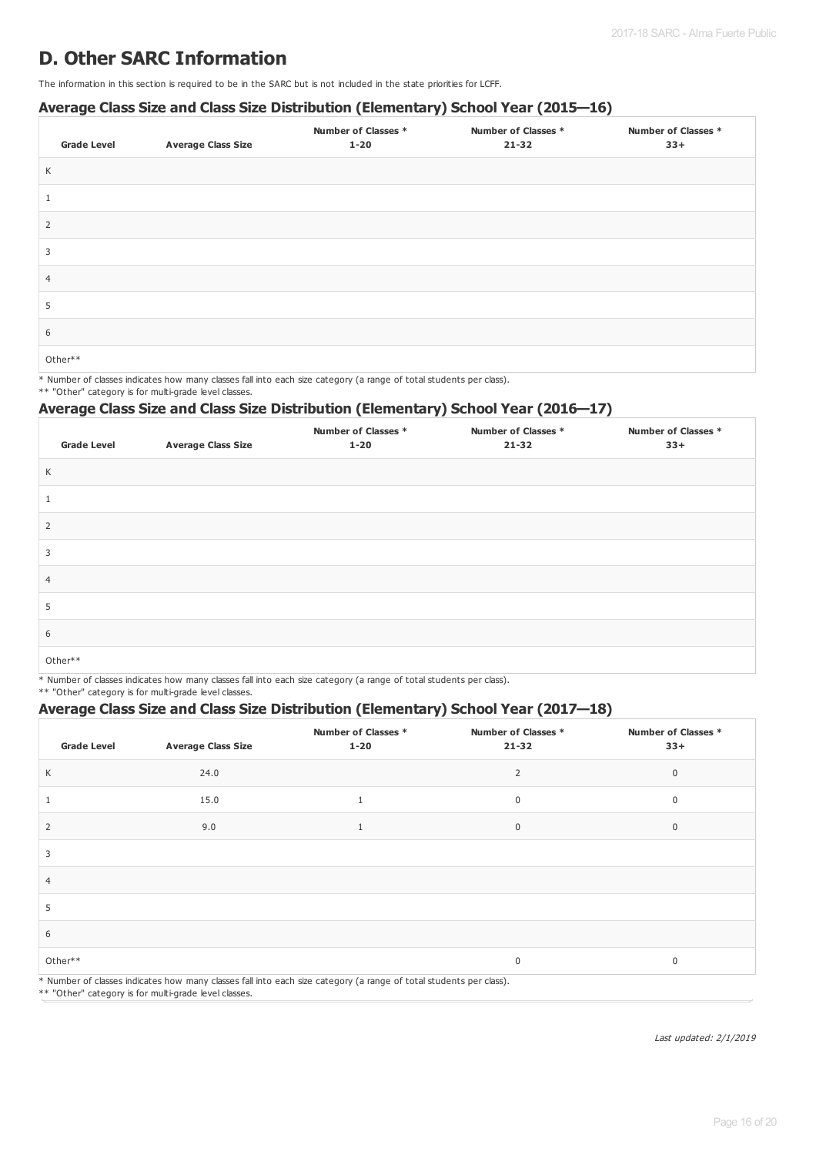### **D. Other SARC Information**

The information in this section is required to be in the SARC but is not included in the state priorities for LCFF.

#### **Average Class Size and Class Size Distribution (Elementary) School Year (2015—16)**

| <b>Grade Level</b> | <b>Average Class Size</b> | <b>Number of Classes *</b><br>$1 - 20$ | Number of Classes *<br>$21 - 32$ | <b>Number of Classes *</b><br>$33+$ |
|--------------------|---------------------------|----------------------------------------|----------------------------------|-------------------------------------|
| K                  |                           |                                        |                                  |                                     |
|                    |                           |                                        |                                  |                                     |
| 2                  |                           |                                        |                                  |                                     |
| 3                  |                           |                                        |                                  |                                     |
| $\overline{4}$     |                           |                                        |                                  |                                     |
| 5                  |                           |                                        |                                  |                                     |
| 6                  |                           |                                        |                                  |                                     |
| Other**            |                           |                                        |                                  |                                     |

\* Number of classes indicates how many classes fall into each size category (a range of total students per class).

\*\* "Other" category is for multi-grade level classes.

#### **Average Class Size and Class Size Distribution (Elementary) School Year (2016—17)**

| <b>Grade Level</b> | <b>Average Class Size</b> | <b>Number of Classes *</b><br>$1 - 20$ | Number of Classes *<br>$21 - 32$ | <b>Number of Classes *</b><br>$33+$ |
|--------------------|---------------------------|----------------------------------------|----------------------------------|-------------------------------------|
| Κ                  |                           |                                        |                                  |                                     |
|                    |                           |                                        |                                  |                                     |
| 2                  |                           |                                        |                                  |                                     |
| 3                  |                           |                                        |                                  |                                     |
| $\overline{4}$     |                           |                                        |                                  |                                     |
| 5                  |                           |                                        |                                  |                                     |
| 6                  |                           |                                        |                                  |                                     |
| Other**            |                           |                                        |                                  |                                     |

\* Number of classes indicates how many classes fall into each size category (a range of total students per class).

\*\* "Other" category is for multi-grade level classes.

#### **Average Class Size and Class Size Distribution (Elementary) School Year (2017—18)**

| <b>Grade Level</b> | <b>Average Class Size</b> | Number of Classes *<br>$1 - 20$                                                                                    | Number of Classes *<br>$21 - 32$ | Number of Classes *<br>$33+$ |
|--------------------|---------------------------|--------------------------------------------------------------------------------------------------------------------|----------------------------------|------------------------------|
| К                  | 24.0                      |                                                                                                                    | $\overline{2}$                   | $\mathbf 0$                  |
|                    | 15.0                      | 1                                                                                                                  | 0                                | $\mathbf 0$                  |
| 2                  | 9.0                       | $\mathbf{1}$                                                                                                       | $\mathbf 0$                      | $\mathbf 0$                  |
| 3                  |                           |                                                                                                                    |                                  |                              |
| $\overline{4}$     |                           |                                                                                                                    |                                  |                              |
| 5                  |                           |                                                                                                                    |                                  |                              |
| 6                  |                           |                                                                                                                    |                                  |                              |
| Other**            |                           |                                                                                                                    | 0                                | $\mathbf 0$                  |
|                    |                           | * Number of classes indicates how many classes fall into each size category (a range of total students per class). |                                  |                              |

\*\* "Other" category is for multi-grade level classes.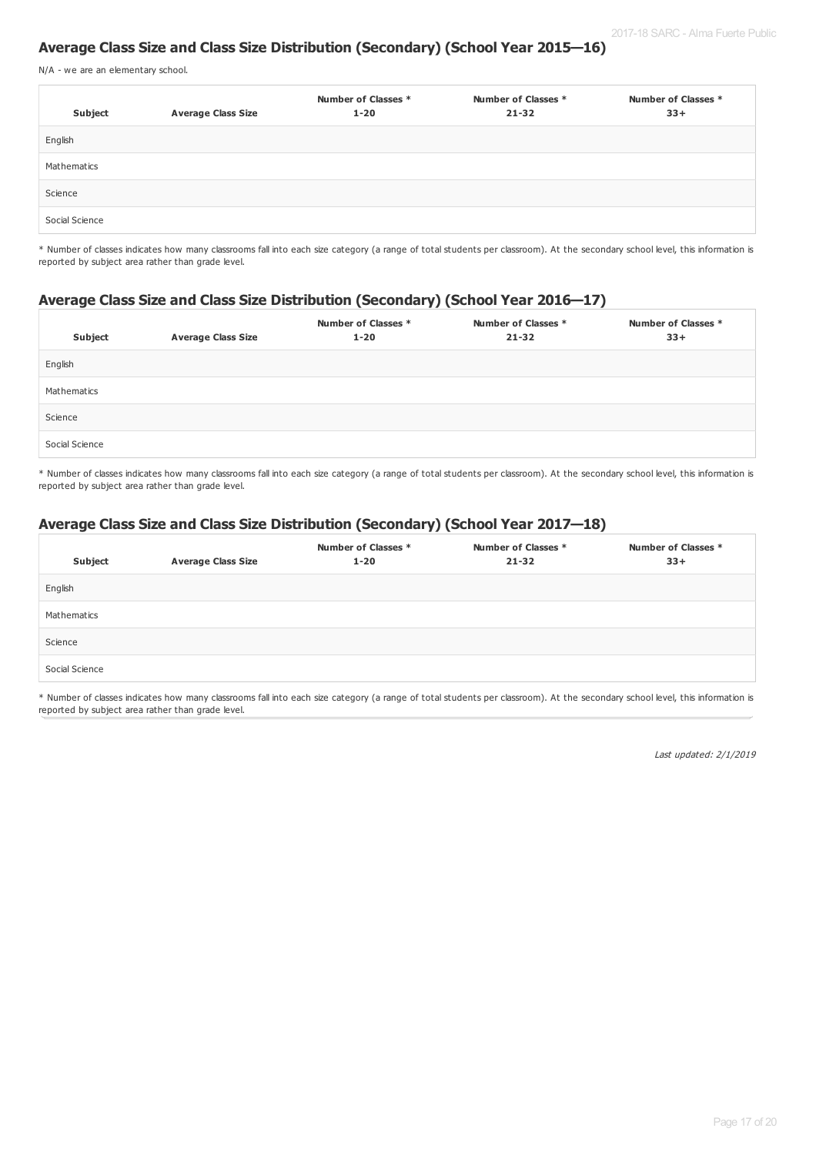#### **Average Class Size and Class Size Distribution (Secondary) (School Year 2015—16)**

N/A - we are an elementary school.

| Subject        | <b>Average Class Size</b> | Number of Classes *<br>$1 - 20$ | Number of Classes *<br>$21 - 32$ | Number of Classes *<br>$33+$ |
|----------------|---------------------------|---------------------------------|----------------------------------|------------------------------|
| English        |                           |                                 |                                  |                              |
| Mathematics    |                           |                                 |                                  |                              |
| Science        |                           |                                 |                                  |                              |
| Social Science |                           |                                 |                                  |                              |

\* Number of classes indicates how many classrooms fall into each size category (a range of total students per classroom). At the secondary school level, this information is reported by subject area rather than grade level.

#### **Average Class Size and Class Size Distribution (Secondary) (School Year 2016—17)**

| Subject        | <b>Average Class Size</b> | Number of Classes *<br>$1 - 20$ | Number of Classes *<br>$21 - 32$ | Number of Classes *<br>$33+$ |
|----------------|---------------------------|---------------------------------|----------------------------------|------------------------------|
| English        |                           |                                 |                                  |                              |
| Mathematics    |                           |                                 |                                  |                              |
| Science        |                           |                                 |                                  |                              |
| Social Science |                           |                                 |                                  |                              |

\* Number of classes indicates how many classrooms fall into each size category (a range of total students per classroom). At the secondary school level, this information is reported by subject area rather than grade level.

#### **Average Class Size and Class Size Distribution (Secondary) (School Year 2017—18)**

| Subject        | <b>Average Class Size</b> | Number of Classes *<br>$1 - 20$ | Number of Classes *<br>$21 - 32$ | Number of Classes *<br>$33+$ |
|----------------|---------------------------|---------------------------------|----------------------------------|------------------------------|
| English        |                           |                                 |                                  |                              |
| Mathematics    |                           |                                 |                                  |                              |
| Science        |                           |                                 |                                  |                              |
| Social Science |                           |                                 |                                  |                              |

\* Number of classes indicates how many classrooms fall into each size category (a range of total students per classroom). At the secondary school level, this information is reported by subject area rather than grade level.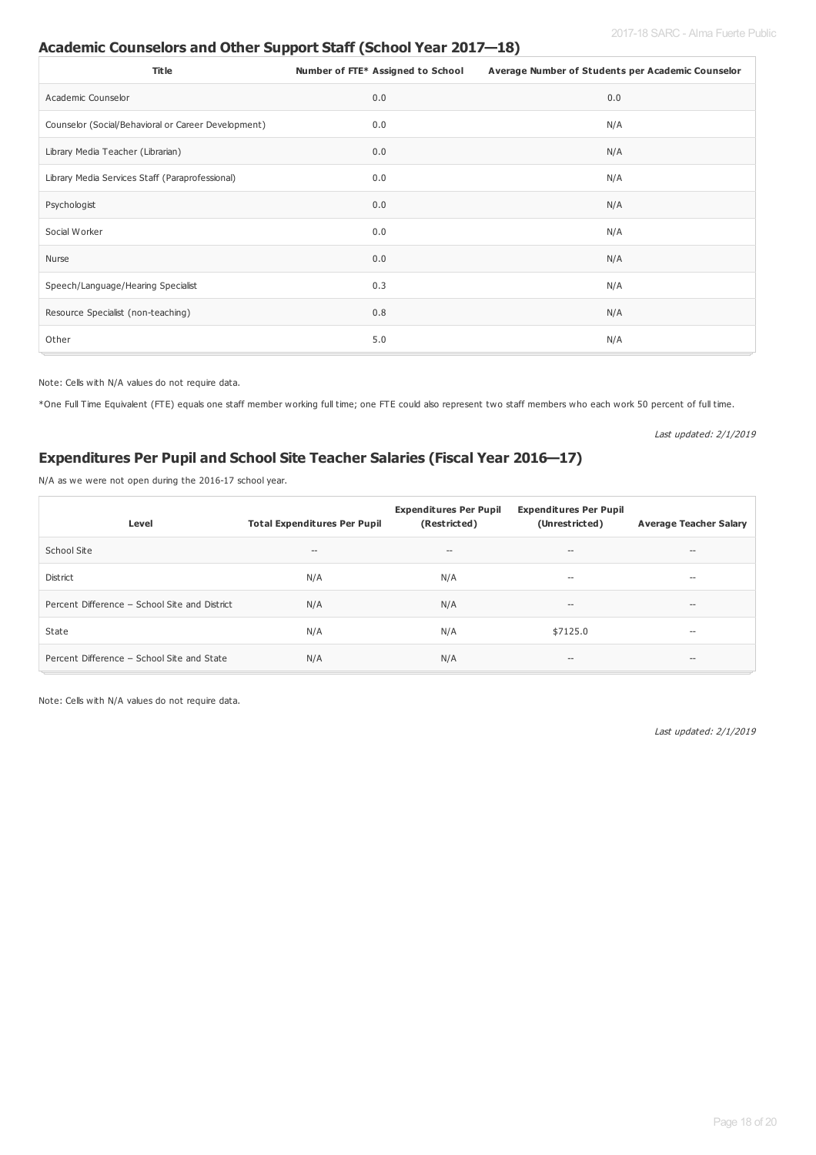#### 2017-18 SARC - Alma Fuerte Public

#### **Academic Counselors and Other Support Staff (School Year 2017—18)**

| <b>Title</b>                                        | Number of FTE* Assigned to School | Average Number of Students per Academic Counselor |
|-----------------------------------------------------|-----------------------------------|---------------------------------------------------|
| Academic Counselor                                  | 0.0                               | 0.0                                               |
| Counselor (Social/Behavioral or Career Development) | 0.0                               | N/A                                               |
| Library Media Teacher (Librarian)                   | 0.0                               | N/A                                               |
| Library Media Services Staff (Paraprofessional)     | 0.0                               | N/A                                               |
| Psychologist                                        | 0.0                               | N/A                                               |
| Social Worker                                       | 0.0                               | N/A                                               |
| Nurse                                               | 0.0                               | N/A                                               |
| Speech/Language/Hearing Specialist                  | 0.3                               | N/A                                               |
| Resource Specialist (non-teaching)                  | 0.8                               | N/A                                               |
| Other                                               | 5.0                               | N/A                                               |

Note: Cells with N/A values do not require data.

\*One Full Time Equivalent (FTE) equals one staff member working full time; one FTE could also represent two staff members who each work 50 percent of full time.

Last updated: 2/1/2019

#### **Expenditures Per Pupil and School Site Teacher Salaries (Fiscal Year 2016—17)**

N/A as we were not open during the 2016-17 school year.

| Level                                         | <b>Total Expenditures Per Pupil</b> | <b>Expenditures Per Pupil</b><br>(Restricted) | <b>Expenditures Per Pupil</b><br>(Unrestricted)     | <b>Average Teacher Salary</b> |
|-----------------------------------------------|-------------------------------------|-----------------------------------------------|-----------------------------------------------------|-------------------------------|
| School Site                                   | $- -$                               | $\hspace{0.05cm}$ – $\hspace{0.05cm}$         | $-\,$                                               | $-\, -$                       |
| District                                      | N/A                                 | N/A                                           | $\hspace{0.05cm} -\hspace{0.05cm} -\hspace{0.05cm}$ | $- -$                         |
| Percent Difference - School Site and District | N/A                                 | N/A                                           | $-\,$                                               | $--$                          |
| State                                         | N/A                                 | N/A                                           | \$7125.0                                            | $- -$                         |
| Percent Difference - School Site and State    | N/A                                 | N/A                                           | $\hspace{0.1mm}-\hspace{0.1mm}-\hspace{0.1mm}$      | $-\, -$                       |

Note: Cells with N/A values do not require data.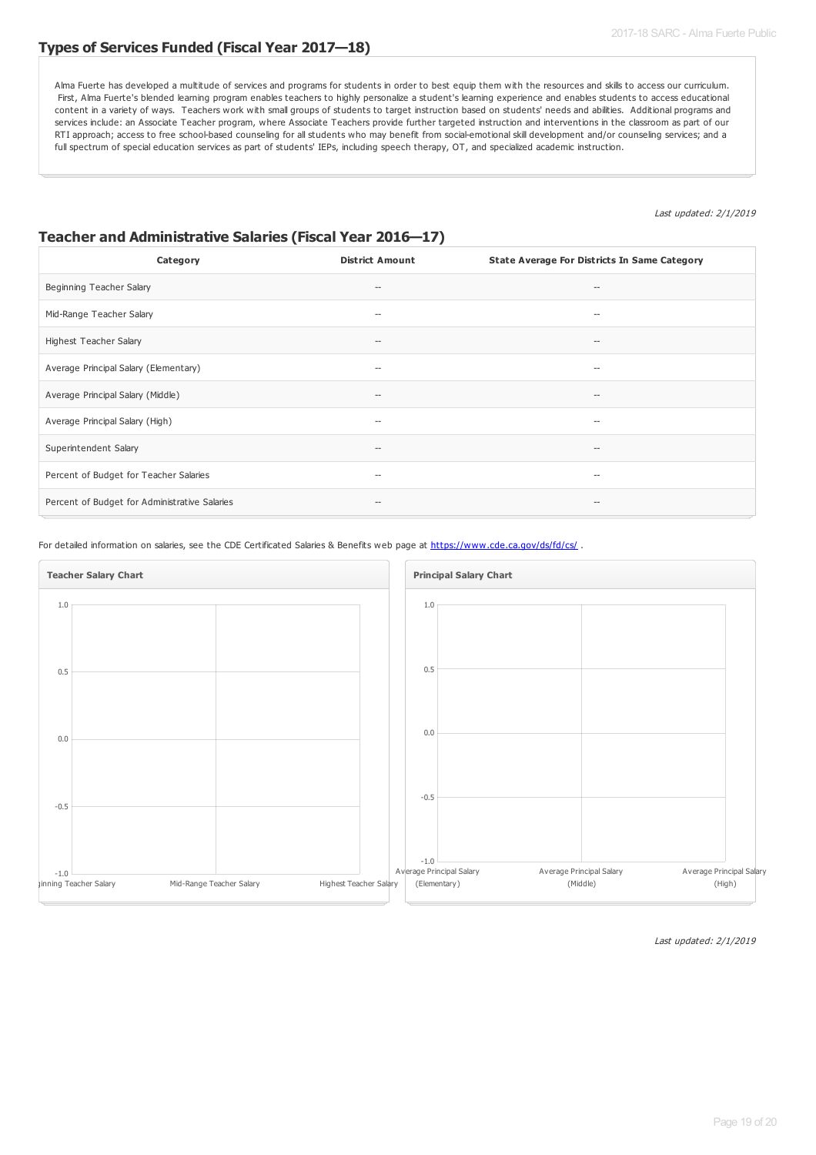#### **Types of Services Funded (Fiscal Year 2017—18)**

Alma Fuerte has developed a multitude of services and programs for students in order to best equip them with the resources and skills to access our curriculum. First, Alma Fuerte's blended learning program enables teachers to highly personalize a student's learning experience and enables students to access educational content in a variety of ways. Teachers work with small groups of students to target instruction based on students' needs and abilities. Additional programs and services include: an Associate Teacher program, where Associate Teachers provide further targeted instruction and interventions in the classroom as part of our RTI approach; access to free school-based counseling for all students who may benefit from social-emotional skill development and/or counseling services; and a full spectrum of special education services as part of students' IEPs, including speech therapy, OT, and specialized academic instruction.

#### Last updated: 2/1/2019

#### **Teacher and Administrative Salaries (Fiscal Year 2016—17)**

| Category                                      | <b>District Amount</b>             | State Average For Districts In Same Category |
|-----------------------------------------------|------------------------------------|----------------------------------------------|
| Beginning Teacher Salary                      | $-\!$                              | $\overline{\phantom{a}}$                     |
| Mid-Range Teacher Salary                      | $-\!$                              | $\overline{\phantom{a}}$                     |
| Highest Teacher Salary                        | $\hspace{0.05cm}--\hspace{0.05cm}$ | $\hspace{0.05cm}$ $\hspace{0.05cm}$          |
| Average Principal Salary (Elementary)         | $-\!$                              | $-$                                          |
| Average Principal Salary (Middle)             | $-\!$                              | $\hspace{0.05cm}$ $\hspace{0.05cm}$          |
| Average Principal Salary (High)               | $\hspace{0.05cm}--\hspace{0.05cm}$ | $\hspace{0.05cm}$ $\hspace{0.05cm}$          |
| Superintendent Salary                         | $-\!$                              | $\hspace{0.05cm}$ $\hspace{0.05cm}$          |
| Percent of Budget for Teacher Salaries        | $\hspace{0.05cm}--\hspace{0.05cm}$ | $\overline{\phantom{a}}$                     |
| Percent of Budget for Administrative Salaries | $-\!$                              | $\hspace{0.05cm}$ $\hspace{0.05cm}$          |

For detailed information on salaries, see the CDE Certificated Salaries & Benefits web page at <https://www.cde.ca.gov/ds/fd/cs/> .